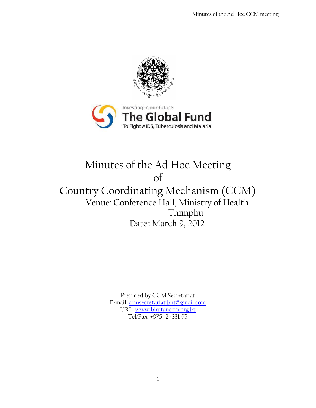



# Minutes of the Ad Hoc Meeting of Country Coordinating Mechanism (CCM) Venue: Conference Hall, Ministry of Health Thimphu Date: March 9, 2012

Prepared by CCM Secretariat E-mail: [ccmsecretariat.bht@gmail.com](mailto:ccmsecretariat.bht@gmail.com) URL: [www.bhutanccm.org.bt](http://www.bhutanccm.org.bt/) Tel/Fax: +975 -2- 331-75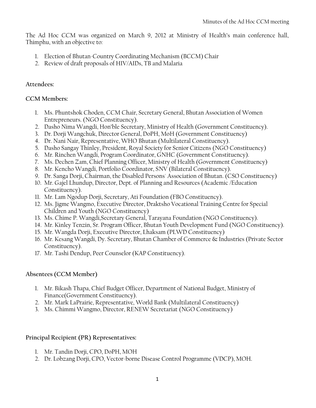The Ad Hoc CCM was organized on March 9, 2012 at Ministry of Health's main conference hall, Thimphu, with an objective to:

- 1. Election of Bhutan-Country Coordinating Mechanism (BCCM) Chair
- 2. Review of draft proposals of HIV/AIDs, TB and Malaria

### **Attendees:**

#### **CCM Members:**

- 1. Ms. Phuntshok Choden, CCM Chair, Secretary General, Bhutan Association of Women Entrepreneurs. (NGO Constituency).
- 2. Dasho Nima Wangdi, Hon'ble Secretary, Ministry of Health (Government Constituency).
- 3. Dr. Dorji Wangchuk, Director General, DoPH, MoH (Government Constituency)
- 4. Dr. Nani Nair, Representative, WHO Bhutan (Multilateral Constituency).
- 5. Dasho Sangay Thinley, President, Royal Society for Senior Citizens (NGO Constituency)
- 6. Mr. Rinchen Wangdi, Program Coordinator, GNHC (Government Constituency).
- 7. Ms. Dechen Zam, Chief Planning Officer, Ministry of Health (Government Constituency)
- 8. Mr. Kencho Wangdi, Portfolio Coordinator, SNV (Bilateral Constituency).
- 9. Dr. Sanga Dorji, Chairman, the Disabled Persons' Association of Bhutan. (CSO Constituency)
- 10. Mr. Gajel Lhundup, Director, Dept. of Planning and Resources (Academic /Education Constituency).
- 11. Mr. Lam Ngodup Dorji, Secretary, Ati Foundation (FBO Constituency).
- 12. Ms. Jigme Wangmo, Executive Director, Draktsho Vocational Training Centre for Special Children and Youth (NGO Constituency)
- 13. Ms. Chime P. Wangdi,Secretary General, Tarayana Foundation (NGO Constituency).
- 14. Mr. Kinley Tenzin, Sr. Program Officer, Bhutan Youth Development Fund (NGO Constituency).
- 15. Mr. Wangda Dorji, Executive Director, Lhaksam (PLWD Constituency)
- 16. Mr. Kesang Wangdi, Dy. Secretary, Bhutan Chamber of Commerce & Industries (Private Sector Constituency).
- 17. Mr. Tashi Dendup, Peer Counselor (KAP Constituency).

## **Absentees (CCM Member)**

- 1. Mr. Bikash Thapa, Chief Budget Officer, Department of National Budget, Ministry of Finance(Government Constituency).
- 2. Mr. Mark LaPrairie, Representative, World Bank (Multilateral Constituency)
- 3. Ms. Chimmi Wangmo, Director, RENEW Secretariat (NGO Constituency)

## **Principal Recipient (PR) Representatives:**

- 1. Mr. Tandin Dorji, CPO, DoPH, MOH
- 2. Dr. Lobzang Dorji, CPO, Vector-borne Disease Control Programme (VDCP), MOH.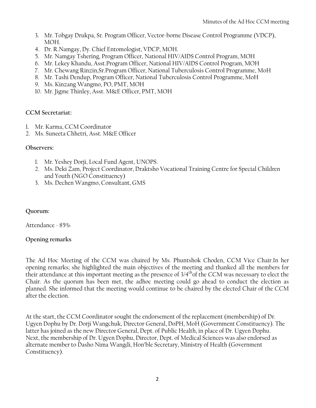- 3. Mr. Tobgay Drukpa, Sr. Program Officer, Vector-borne Disease Control Programme (VDCP), MOH.
- 4. Dr. R.Namgay, Dy. Chief Entomologist, VDCP, MOH.
- 5. Mr. Namgay Tshering, Program Officer, National HIV/AIDS Control Program, MOH
- 6. Mr. Lekey Khandu, Asst.Program Officer, National HIV/AIDS Control Program, MOH
- 7. Mr. Chewang Rinzin,Sr.Program Officer, National Tuberculosis Control Programme, MoH
- 8. Mr. Tashi Dendup, Program Officer, National Tuberculosis Control Programme, MoH
- 9. Ms. Kinzang Wangmo, PO, PMT, MOH
- 10. Mr. Jigme Thinley, Asst. M&E Officer, PMT, MOH

#### **CCM Secretariat:**

- 1. Mr. Karma, CCM Coordinator
- 2. Ms. Suneeta Chhetri, Asst. M&E Officer

#### **Observers:**

- 1. Mr. Yeshey Dorji, Local Fund Agent, UNOPS.
- 2. Ms. Deki Zam, Project Coordinator, Draktsho Vocational Training Centre for Special Children and Youth (NGO Constituency)
- 3. Ms. Dechen Wangmo, Consultant, GMS

## **Quorum:**

Attendance - 85%

## **Opening remarks**

The Ad Hoc Meeting of the CCM was chaired by Ms. Phuntshok Choden, CCM Vice Chair.In her opening remarks; she highlighted the main objectives of the meeting and thanked all the members for their attendance at this important meeting as the presence of 3/4thof the CCM was necessary to elect the Chair. As the quorum has been met, the adhoc meeting could go ahead to conduct the election as planned. She informed that the meeting would continue to be chaired by the elected Chair of the CCM after the election.

At the start, the CCM Coordinator sought the endorsement of the replacement (membership) of Dr. Ugyen Dophu by Dr. Dorji Wangchuk, Director General, DoPH, MoH (Government Constituency). The latter has joined as the new Director General, Dept. of Public Health, in place of Dr. Ugyen Dophu. Next, the membership of Dr. Ugyen Dophu, Director, Dept. of Medical Sciences was also endorsed as alternate member to Dasho Nima Wangdi, Hon'ble Secretary, Ministry of Health (Government Constituency).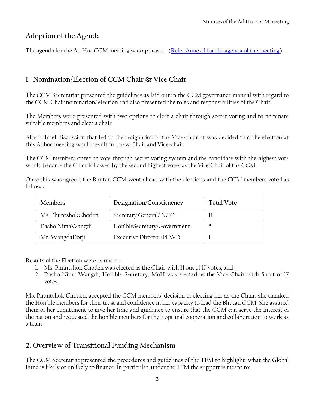# **Adoption of the Agenda**

The agenda for the Ad Hoc CCM meeting was approved. [\(Refer Annex 1 for the agenda of the meeting\)](#page-9-0)

# **1. Nomination/Election of CCM Chair & Vice Chair**

The CCM Secretariat presented the guidelines as laid out in the CCM governance manual with regard to the CCM Chair nomination/ election and also presented the roles and responsibilities of the Chair.

The Members were presented with two options to elect a chair through secret voting and to nominate suitable members and elect a chair.

After a brief discussion that led to the resignation of the Vice-chair, it was decided that the election at this Adhoc meeting would result in a new Chair and Vice-chair.

The CCM members opted to vote through secret voting system and the candidate with the highest vote would become the Chair followed by the second highest votes as the Vice Chair of the CCM.

Once this was agreed, the Bhutan CCM went ahead with the elections and the CCM members voted as follows

| <b>Members</b>      | Designation/Constituency    | <b>Total Vote</b> |
|---------------------|-----------------------------|-------------------|
| Ms. PhuntshokChoden | Secretary General/NGO       |                   |
| Dasho NimaWangdi    | Hon'bleSecretary/Government |                   |
| Mr. WangdaDorji     | Executive Director/PLWD     |                   |

Results of the Election were as under :

- 1. Ms. Phuntshok Choden was elected as the Chair with 11 out of 17 votes, and
- 2. Dasho Nima Wangdi, Hon'ble Secretary, MoH was elected as the Vice Chair with 5 out of 17 votes.

Ms. Phuntshok Choden, accepted the CCM members' decision of electing her as the Chair, she thanked the Hon'ble members for their trust and confidence in her capacity to lead the Bhutan CCM. She assured them of her comittment to give her time and guidance to ensure that the CCM can serve the interest of the nation and requested the hon'ble members for their optimal cooperation and collaboration to work as a team

# **2. Overview of Transitional Funding Mechanism**

The CCM Secretariat presented the procedures and guidelines of the TFM to highlight what the Global Fund is likely or unlikely to finance. In particular, under the TFM the support is meant to: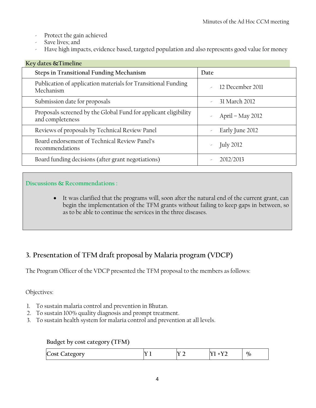- Protect the gain achieved
- Save lives; and
- Have high impacts, evidence based, targeted population and also represents good value for money

| Key dates & Timeline                                                                |                  |
|-------------------------------------------------------------------------------------|------------------|
| Steps in Transitional Funding Mechanism                                             | Date             |
| Publication of application materials for Transitional Funding<br>Mechanism          | 12 December 2011 |
| Submission date for proposals                                                       | 31 March 2012    |
| Proposals screened by the Global Fund for applicant eligibility<br>and completeness | April - May 2012 |
| Reviews of proposals by Technical Review Panel                                      | Early June 2012  |
| Board endorsement of Technical Review Panel's<br>recommendations                    | <b>July 2012</b> |
| Board funding decisions (after grant negotiations)                                  | 2012/2013        |

## **Discussions & Recommendations :**

 It was clarified that the programs will, soon after the natural end of the current grant, can begin the implementation of the TFM grants without failing to keep gaps in between, so as to be able to continue the services in the three diseases.

# **3. Presentation of TFM draft proposal by Malaria program (VDCP)**

The Program Officer of the VDCP presented the TFM proposal to the members as follows:

## Objectives:

- 1. To sustain malaria control and prevention in Bhutan.
- 2. To sustain 100% quality diagnosis and prompt treatment.
- 3. To sustain health system for malaria control and prevention at all levels.

#### **Budget by cost category (TFM)**

| Cost<br>$\mathcal{L}$ ategory |  | $-$ | ---<br>__ | $\%$ |
|-------------------------------|--|-----|-----------|------|
|-------------------------------|--|-----|-----------|------|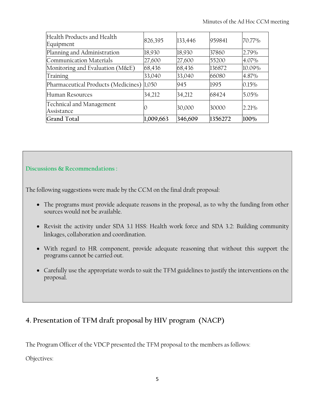| Health Products and Health<br>Equipment   | 826,395   | 133,446 | 959841  | 70.77% |
|-------------------------------------------|-----------|---------|---------|--------|
| Planning and Administration               | 18,930    | 18,930  | 37860   | 2.79%  |
| Communication Materials                   | 27,600    | 27,600  | 55200   | 4.07%  |
| Monitoring and Evaluation (M&E)           | 68,436    | 68,436  | 136872  | 10.09% |
| Training                                  | 33,040    | 33,040  | 66080   | 4.87%  |
| Pharmaceutical Products (Medicines) 1,050 |           | 945     | 1995    | 0.15%  |
| Human Resources                           | 34,212    | 34,212  | 68424   | 5.05%  |
| Technical and Management<br>Assistance    |           | 30,000  | 30000   | 2.21%  |
| Grand Total                               | 1,009,663 | 346,609 | 1356272 | 100%   |

## **Discussions & Recommendations :**

The following suggestions were made by the CCM on the final draft proposal:

- The programs must provide adequate reasons in the proposal, as to why the funding from other sources would not be available.
- Revisit the activity under SDA 3.1 HSS: Health work force and SDA 3.2: Building community linkages, collaboration and coordination.
- With regard to HR component, provide adequate reasoning that without this support the programs cannot be carried out.
- Carefully use the appropriate words to suit the TFM guidelines to justify the interventions on the proposal.

# **4. Presentation of TFM draft proposal by HIV program (NACP)**

The Program Officer of the VDCP presented the TFM proposal to the members as follows:

Objectives: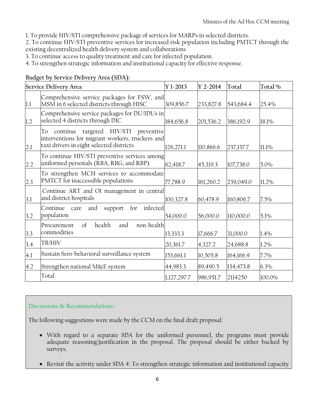1. To provide HIV/STI comprehensive package of services for MARPs in selected districts.

2. To continue HIV/STI preventive services for increased risk population including PMTCT through the existing decentralized health delivery system and collaborations

3. To continue access to quality treatment and care for infected population.

4. To strengthen strategic information and institutional capacity for effective response.

|     | Service Delivery Area                                                                                                                           | Y 1-2013    | $Y 2 - 2014$ | Total     | Total % |
|-----|-------------------------------------------------------------------------------------------------------------------------------------------------|-------------|--------------|-----------|---------|
| 1.1 | Comprehensive service packages for FSW, and<br>MSM in 6 selected districts through HISC                                                         | 309,856.7   | 233,827.8    | 543,684.4 | 25.4%   |
| 1.2 | Comprehensive service packages for DU/IDUs in<br>selected 4 districts through DIC                                                               | 184,656.8   | 201,536.2    | 386,192.9 | 18.1%   |
| 2.1 | targeted HIV/STI<br>continue<br>To<br>preventive<br>interventions for migrant workers, truckers and<br>taxi drivers in eight selected districts | 126,271.1   | 110,866.6    | 237,137.7 | 11.1%   |
| 2.2 | To continue HIV/STI preventive services among<br>uniformed personals (RBA, RBG, and RBP)                                                        | 62,418.7    | 45,319.3     | 107,738.0 | 5.0%    |
| 2.3 | To strengthen MCH services to accommodate<br>PMTCT for inaccessible populations                                                                 | 77,788.9    | 161,260.2    | 239,049.0 | 11.2%   |
| 3.1 | Continue ART and OI management in central<br>and district hospitals                                                                             | 100,327.8   | 60,478.9     | 160,806.7 | $7.5\%$ |
| 3.2 | for<br>infected<br>Continue<br>and<br>support<br>care<br>population                                                                             | 54,000.0    | 56,000.0     | 110,000.0 | 5.1%    |
| 3.3 | $\sigma$<br>health<br>non-health<br>Procurement<br>and<br>commodities                                                                           | 13,333.3    | 17,666.7     | 31,000.0  | 1.4%    |
| 3.4 | TB/HIV                                                                                                                                          | 20,361.7    | 4,327.2      | 24,688.8  | $1.2\%$ |
| 4.1 | Sustain Sero-behavioral surveillance system                                                                                                     | 153,661.1   | 10,505.8     | 164,166.9 | $7.7\%$ |
| 4.2 | Strengthen national M&E system                                                                                                                  | 44,983.3    | 89,490.5     | 134,473.8 | $6.3\%$ |
|     | Total                                                                                                                                           | 1,127,297.7 | 986,951.7    | 2114250   | 100.0%  |

#### **Budget by Service Delivery Area (SDA):**

#### Discussions & Recommendations :

The following suggestions were made by the CCM on the final draft proposal:

- With regard to a separate SDA for the uniformed personnel, the programs must provide adequate reasoning/justification in the proposal. The proposal should be either backed by surveys.
- Revisit the activity under SDA 4: To strengthen strategic information and institutional capacity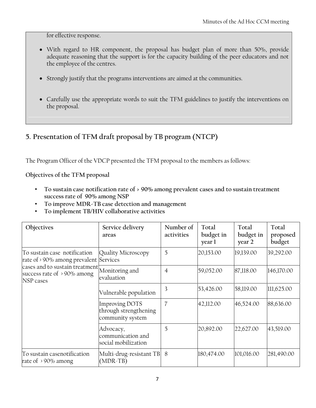for effective response.

- With regard to HR component, the proposal has budget plan of more than 50%, provide adequate reasoning that the support is for the capacity building of the peer educators and not the employee of the centres.
- Strongly justify that the programs interventions are aimed at the communities.
- Carefully use the appropriate words to suit the TFM guidelines to justify the interventions on the proposal.

# **5. Presentation of TFM draft proposal by TB program (NTCP)**

The Program Officer of the VDCP presented the TFM proposal to the members as follows:

**Objectives of the TFM proposal**

- **To sustain case notification rate of > 90% among prevalent cases and to sustain treatment success rate of 90% among NSP**
- **To improve MDR-TB case detection and management**
- **To implement TB/HIV collaborative activities**

| Objectives                                                                                            | Service delivery<br>areas                                          | Number of<br>activities | Total<br>budget in<br>year l | Total<br>budget in<br>year 2 | Total<br>proposed<br>budget |
|-------------------------------------------------------------------------------------------------------|--------------------------------------------------------------------|-------------------------|------------------------------|------------------------------|-----------------------------|
| To sustain case notification<br>rate of $\rightarrow$ 90% among prevalent Services                    | Quality Microscopy                                                 | 5                       | 20,153.00                    | 19,139.00                    | 39,292.00                   |
| cases and to sustain treatment Monitoring and<br>success rate of $\rightarrow$ 90% among<br>NSP cases | evaluation                                                         | 4                       | 59,052.00                    | 87,118.00                    | 146,170.00                  |
|                                                                                                       | Vulnerable population                                              | 3                       | 53,426.00                    | 58,119.00                    | 111,625.00                  |
|                                                                                                       | <b>Improving DOTS</b><br>through strengthening<br>community system | 7                       | 42,112.00                    | 46,524.00                    | 88,636.00                   |
|                                                                                                       | Advocacy,<br>communication and<br>social mobilization              | 5                       | 20,892.00                    | 22,627.00                    | 43,519.00                   |
| To sustain casenotification<br>rate of $\rightarrow$ 90% among                                        | Multi-drug-resistant TB 8<br>$(MDR-TB)$                            |                         | 180,474.00                   | 101,016.00                   | 281,490.00                  |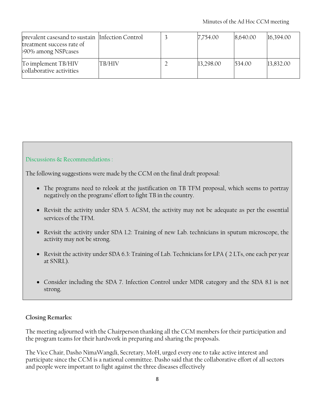| prevalent casesand to sustain Infection Control<br>treatment success rate of<br>>90% among NSPcases |        | 7,754.00  | 8,640.00 | 16,394.00 |
|-----------------------------------------------------------------------------------------------------|--------|-----------|----------|-----------|
| To implement TB/HIV<br>collaborative activities                                                     | TB/HIV | 13,298.00 | 1534.00  | 13,832.00 |

#### Discussions & Recommendations :

The following suggestions were made by the CCM on the final draft proposal:

- The programs need to relook at the justification on TB TFM proposal, which seems to portray negatively on the programs' effort to fight TB in the country.
- Revisit the activity under SDA 5. ACSM, the activity may not be adequate as per the essential services of the TFM.
- Revisit the activity under SDA 1.2: Training of new Lab. technicians in sputum microscope, the activity may not be strong.
- Revisit the activity under SDA 6.3: Training of Lab. Technicians for LPA ( 2 LTs, one each per year at SNRL).
- Consider including the SDA 7. Infection Control under MDR category and the SDA 8.1 is not strong.

#### **Closing Remarks:**

The meeting adjourned with the Chairperson thanking all the CCM members for their participation and the program teams for their hardwork in preparing and sharing the proposals.

The Vice Chair, Dasho NimaWangdi, Secretary, MoH, urged every one to take active interest and participate since the CCM is a national committee. Dasho said that the collaborative effort of all sectors and people were important to fight against the three diseases effectively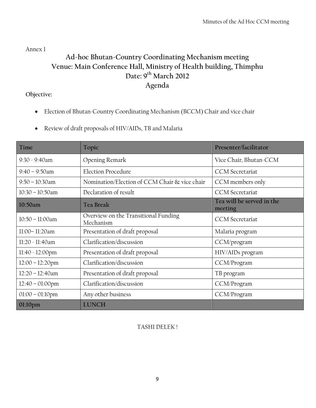<span id="page-9-0"></span>Annex 1

# **Ad-hoc Bhutan-Country Coordinating Mechanism meeting Venue: Main Conference Hall, Ministry of Health building, Thimphu Date: 9th March 2012 Agenda**

### **Objective:**

- Election of Bhutan-Country Coordinating Mechanism (BCCM) Chair and vice chair
- Review of draft proposals of HIV/AIDs, TB and Malaria

| Time                      | Topic                                             | Presenter/facilitator                |
|---------------------------|---------------------------------------------------|--------------------------------------|
| $9:30 - 9:40$ am          | Opening Remark                                    | Vice Chair, Bhutan-CCM               |
| $9:40 - 9:50$ am          | <b>Election Procedure</b>                         | <b>CCM</b> Secretariat               |
| $9:50 - 10:30$ am         | Nomination/Election of CCM Chair & vice chair     | CCM members only                     |
| $10:30 - 10:50$ am        | Declaration of result                             | <b>CCM</b> Secretariat               |
| 10:50am                   | <b>Tea Break</b>                                  | Tea will be served in the<br>meeting |
| 10:50 - 11:00am           | Overview on the Transitional Funding<br>Mechanism | <b>CCM</b> Secretariat               |
| 11:00-11:20am             | Presentation of draft proposal                    | Malaria program                      |
| 11:20 - 11:40am           | Clarification/discussion                          | CCM/program                          |
| $11:40 - 12:00 \text{pm}$ | Presentation of draft proposal                    | HIV/AIDs program                     |
| $12:00 - 12:20$ pm        | Clarification/discussion                          | CCM/Program                          |
| $12:20 - 12:40$ am        | Presentation of draft proposal                    | TB program                           |
| $12:40 - 01:00$ pm        | Clarification/discussion                          | CCM/Program                          |
| $01:00 - 01:10$ pm        | Any other business                                | CCM/Program                          |
| 01:10pm                   | <b>LUNCH</b>                                      |                                      |

## TASHI DELEK !